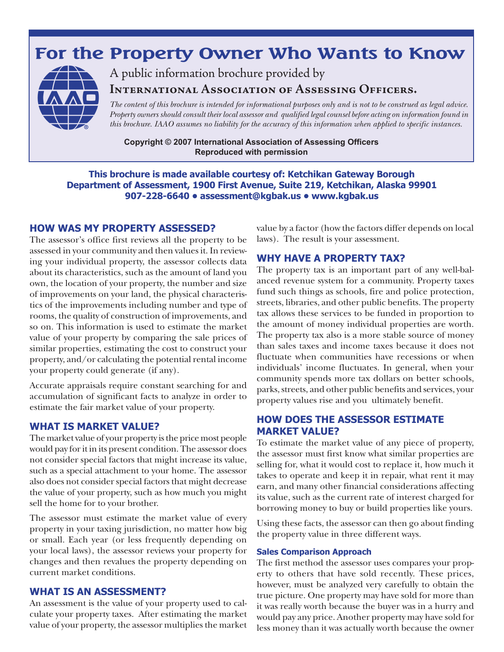# **For the Property Owner Who Wants to Know**



A public information brochure provided by

**International Association of Assessing Officers.** 

*The content of this brochure is intended for informational purposes only and is not to be construed as legal advice. Property owners should consult their local assessor and qualified legal counsel before acting on information found in this brochure. IAAO assumes no liability for the accuracy of this information when applied to specific instances.*

**Copyright © 2007 International Association of Assessing Officers Reproduced with permission**

**This brochure is made available courtesy of: Ketchikan Gateway Borough Department of Assessment, 1900 First Avenue, Suite 219, Ketchikan, Alaska 99901 907-228-6640 • assessment@kgbak.us • www.kgbak.us**

#### **HOW WAS MY PROPERTY ASSESSED?**

The assessor's office first reviews all the property to be assessed in your community and then values it. In reviewing your individual property, the assessor collects data about its characteristics, such as the amount of land you own, the location of your property, the number and size of improvements on your land, the physical characteristics of the improvements including number and type of rooms, the quality of construction of improvements, and so on. This information is used to estimate the market value of your property by comparing the sale prices of similar properties, estimating the cost to construct your property, and/or calculating the potential rental income your property could generate (if any).

Accurate appraisals require constant searching for and accumulation of significant facts to analyze in order to estimate the fair market value of your property.

#### **WHAT IS MARKET VALUE?**

The market value of your property is the price most people would pay for it in its present condition. The assessor does not consider special factors that might increase its value, such as a special attachment to your home. The assessor also does not consider special factors that might decrease the value of your property, such as how much you might sell the home for to your brother.

The assessor must estimate the market value of every property in your taxing jurisdiction, no matter how big or small. Each year (or less frequently depending on your local laws), the assessor reviews your property for changes and then revalues the property depending on current market conditions.

#### **WHAT IS AN ASSESSMENT?**

An assessment is the value of your property used to calculate your property taxes. After estimating the market value of your property, the assessor multiplies the market

value by a factor (how the factors differ depends on local laws). The result is your assessment.

#### **WHY HAVE A PROPERTY TAX?**

The property tax is an important part of any well-balanced revenue system for a community. Property taxes fund such things as schools, fire and police protection, streets, libraries, and other public benefits. The property tax allows these services to be funded in proportion to the amount of money individual properties are worth. The property tax also is a more stable source of money than sales taxes and income taxes because it does not fluctuate when communities have recessions or when individuals' income fluctuates. In general, when your community spends more tax dollars on better schools, parks, streets, and other public benefits and services, your property values rise and you ultimately benefit.

### **HOW DOES THE ASSESSOR ESTIMATE MARKET VALUE?**

To estimate the market value of any piece of property, the assessor must first know what similar properties are selling for, what it would cost to replace it, how much it takes to operate and keep it in repair, what rent it may earn, and many other financial considerations affecting its value, such as the current rate of interest charged for borrowing money to buy or build properties like yours.

Using these facts, the assessor can then go about finding the property value in three different ways.

#### **Sales Comparison Approach**

The first method the assessor uses compares your property to others that have sold recently. These prices, however, must be analyzed very carefully to obtain the true picture. One property may have sold for more than it was really worth because the buyer was in a hurry and would pay any price. Another property may have sold for less money than it was actually worth because the owner